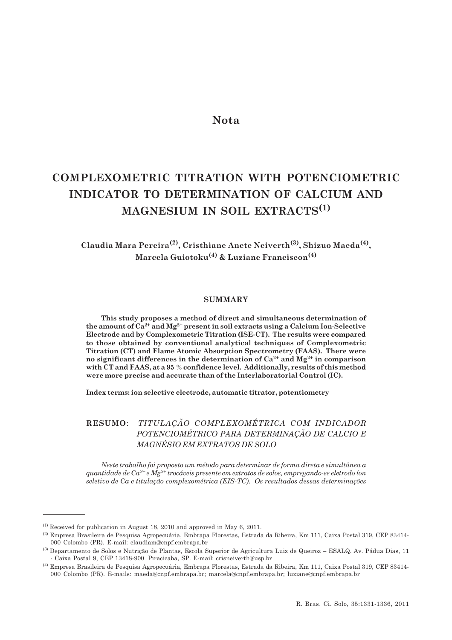## **Nota**

# **COMPLEXOMETRIC TITRATION WITH POTENCIOMETRIC INDICATOR TO DETERMINATION OF CALCIUM AND MAGNESIUM IN SOIL EXTRACTS(1)**

**Claudia Mara Pereira(2), Cristhiane Anete Neiverth(3), Shizuo Maeda(4), Marcela Guiotoku(4) & Luziane Franciscon(4)**

#### **SUMMARY**

**This study proposes a method of direct and simultaneous determination of the amount of Ca2+ and Mg2+ present in soil extracts using a Calcium Ion-Selective Electrode and by Complexometric Titration (ISE-CT). The results were compared to those obtained by conventional analytical techniques of Complexometric Titration (CT) and Flame Atomic Absorption Spectrometry (FAAS). There were no significant differences in the determination of Ca2+ and Mg2+ in comparison with CT and FAAS, at a 95 % confidence level. Additionally, results of this method were more precise and accurate than of the Interlaboratorial Control (IC).**

**Index terms: ion selective electrode, automatic titrator, potentiometry**

### **RESUMO**: *TITULAÇÃO COMPLEXOMÉTRICA COM INDICADOR POTENCIOMÉTRICO PARA DETERMINAÇÃO DE CALCIO E MAGNÉSIO EM EXTRATOS DE SOLO*

*Neste trabalho foi proposto um método para determinar de forma direta e simultânea a quantidade de Ca2+ e Mg2+ trocáveis presente em extratos de solos, empregando-se eletrodo íon seletivo de Ca e titulação complexométrica (EIS-TC). Os resultados dessas determinações*

 $(1)$  Received for publication in August 18, 2010 and approved in May 6, 2011.

<sup>(2)</sup> Empresa Brasileira de Pesquisa Agropecuária, Embrapa Florestas, Estrada da Ribeira, Km 111, Caixa Postal 319, CEP 83414- 000 Colombo (PR). E-mail: claudiam@cnpf.embrapa.br

<sup>(3)</sup> Departamento de Solos e Nutrição de Plantas, Escola Superior de Agricultura Luiz de Queiroz – ESALQ. Av. Pádua Dias, 11 - Caixa Postal 9, CEP 13418-900 Piracicaba, SP. E-mail: crisneiverth@usp.br

<sup>(4)</sup> Empresa Brasileira de Pesquisa Agropecuária, Embrapa Florestas, Estrada da Ribeira, Km 111, Caixa Postal 319, CEP 83414- 000 Colombo (PR). E-mails: maeda@cnpf.embrapa.br; marcela@cnpf.embrapa.br; luziane@cnpf.embrapa.br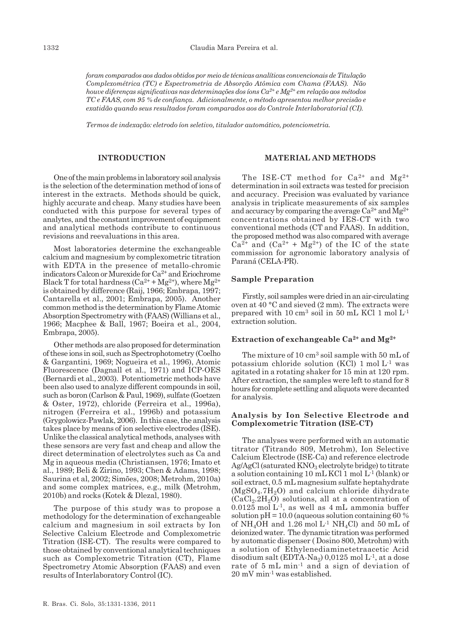*foram comparados aos dados obtidos por meio de técnicas analíticas convencionais de Titulação Complexométrica (TC) e Espectrometria de Absorção Atômica com Chama (FAAS). Não houve diferenças significativas nas determinações dos íons Ca2+ e Mg2+ em relação aos métodos TC e FAAS, com 95 % de confiança. Adicionalmente, o método apresentou melhor precisão e exatidão quando seus resultados foram comparados aos do Controle Interlaboratorial (CI).*

*Termos de indexação: eletrodo íon seletivo, titulador automático, potenciometria.*

#### **INTRODUCTION**

One of the main problems in laboratory soil analysis is the selection of the determination method of ions of interest in the extracts. Methods should be quick, highly accurate and cheap. Many studies have been conducted with this purpose for several types of analytes, and the constant improvement of equipment and analytical methods contribute to continuous revisions and reevaluations in this area.

Most laboratories determine the exchangeable calcium and magnesium by complexometric titration with EDTA in the presence of metallo-chromic indicators Calcon or Murexide for Ca2+ and Eriochrome Black T for total hardness  $(Ca^{2+} + Mg^{2+})$ , where  $Mg^{2+}$ is obtained by difference (Raij, 1966; Embrapa, 1997; Cantarella et al., 2001; Embrapa, 2005). Another common method is the determination by Flame Atomic Absorption Spectrometry with (FAAS) (Willians et al., 1966; Macphee & Ball, 1967; Boeira et al., 2004, Embrapa, 2005).

Other methods are also proposed for determination of these ions in soil, such as Spectrophotometry (Coelho & Gargantini, 1969; Nogueira et al., 1996), Atomic Fluorescence (Dagnall et al., 1971) and ICP-OES (Bernardi et al., 2003). Potentiometric methods have been also used to analyze different compounds in soil, such as boron (Carlson & Paul, 1969), sulfate (Goetzen & Oster, 1972), chloride (Ferreira et al., 1996a), nitrogen (Ferreira et al., 1996b) and potassium (Grygolowicz-Pawlak, 2006). In this case, the analysis takes place by means of ion selective electrodes (ISE). Unlike the classical analytical methods, analyses with these sensors are very fast and cheap and allow the direct determination of electrolytes such as Ca and Mg in aqueous media (Christiansen, 1976; Imato et al., 1989; Beli & Zirino, 1993; Chen & Adams, 1998; Saurina et al, 2002; Simões, 2008; Metrohm, 2010a) and some complex matrices, e.g., milk (Metrohm, 2010b) and rocks (Kotek & Dlezal, 1980).

The purpose of this study was to propose a methodology for the determination of exchangeable calcium and magnesium in soil extracts by Ion Selective Calcium Electrode and Complexometric Titration (ISE-CT). The results were compared to those obtained by conventional analytical techniques such as Complexometric Titration (CT), Flame Spectrometry Atomic Absorption (FAAS) and even results of Interlaboratory Control (IC).

#### **MATERIAL AND METHODS**

The ISE-CT method for  $Ca^{2+}$  and  $Mg^{2+}$ determination in soil extracts was tested for precision and accuracy. Precision was evaluated by variance analysis in triplicate measurements of six samples and accuracy by comparing the average  $Ca^{2+}$  and  $Mg^{2+}$ concentrations obtained by IES-CT with two conventional methods (CT and FAAS). In addition, the proposed method was also compared with average  $Ca^{2+}$  and  $(Ca^{2+} + Mg^{2+})$  of the IC of the state commission for agronomic laboratory analysis of Paraná (CELA-PR).

#### **Sample Preparation**

Firstly, soil samples were dried in an air-circulating oven at 40 °C and sieved (2 mm). The extracts were prepared with 10 cm<sup>3</sup> soil in 50 mL KCl 1 mol  $L^{-1}$ extraction solution.

#### **Extraction of exchangeable Ca2+ and Mg2+**

The mixture of 10 cm<sup>3</sup> soil sample with 50 mL of potassium chloride solution (KCl) 1 mol L-1 was agitated in a rotating shaker for 15 min at 120 rpm. After extraction, the samples were left to stand for 8 hours for complete settling and aliquots were decanted for analysis.

#### **Analysis by Ion Selective Electrode and Complexometric Titration (ISE-CT)**

The analyses were performed with an automatic titrator (Titrando 809, Metrohm), Ion Selective Calcium Electrode (ISE-Ca) and reference electrode  $Ag/AgCl$  (saturated  $KNO<sub>3</sub>$  electrolyte bridge) to titrate a solution containing 10 mL KCl 1 mol L-1 (blank) or soil extract, 0.5 mL magnesium sulfate heptahydrate  $(MgSO<sub>4</sub>.7H<sub>2</sub>O)$  and calcium chloride dihydrate  $(CaCl<sub>2</sub>.2H<sub>2</sub>O)$  solutions, all at a concentration of  $0.0125$  mol L<sup>-1</sup>, as well as 4 mL ammonia buffer solution  $pH = 10.0$  (aqueous solution containing 60 %) of NH<sub>4</sub>OH and  $1.26$  mol L<sup>-1</sup> NH<sub>4</sub>Cl) and 50 mL of deionized water. The dynamic titration was performed by automatic dispenser ( Dosino 800, Metrohm) with a solution of Ethylenediaminetetraacetic Acid disodium salt  $(EDTA-Na_2)$  0,0125 mol  $L^{-1}$ , at a dose rate of 5 mL min-1 and a sign of deviation of 20 mV min-1 was established.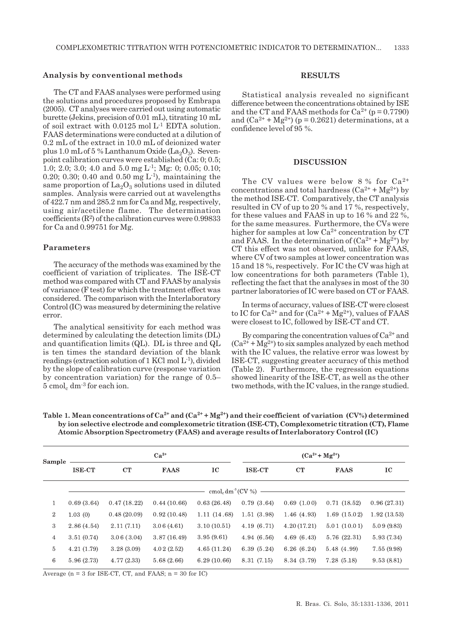#### **Analysis by conventional methods**

The CT and FAAS analyses were performed using the solutions and procedures proposed by Embrapa (2005). CT analyses were carried out using automatic burette (Jekins, precision of 0.01 mL), titrating 10 mL of soil extract with  $0.0125$  mol L<sup>1</sup> EDTA solution. FAAS determinations were conducted at a dilution of 0.2 mL of the extract in 10.0 mL of deionized water plus 1.0 mL of 5 % Lanthanum Oxide (La<sub>2</sub>O<sub>3</sub>). Sevenpoint calibration curves were established (Ca: 0; 0.5; 1.0; 2.0; 3.0; 4.0 and 5.0 mg L-1; Mg: 0; 0.05; 0.10; 0.20; 0.30; 0.40 and 0.50 mg  $L^{-1}$ ), maintaining the same proportion of  $\text{La}_2\text{O}_3$  solutions used in diluted samples. Analysis were carried out at wavelengths of 422.7 nm and 285.2 nm for Ca and Mg, respectively, using air/acetilene flame. The determination coefficients  $(R<sup>2</sup>)$  of the calibration curves were 0.99833 for Ca and 0.99751 for Mg.

#### **Parameters**

The accuracy of the methods was examined by the coefficient of variation of triplicates. The ISE-CT method was compared with CT and FAAS by analysis of variance (F test) for which the treatment effect was considered. The comparison with the Interlaboratory Control (IC) was measured by determining the relative error.

The analytical sensitivity for each method was determined by calculating the detection limits (DL) and quantification limits (QL). DL is three and QL is ten times the standard deviation of the blank readings (extraction solution of 1 KCl mol L-1), divided by the slope of calibration curve (response variation by concentration variation) for the range of 0.5–  $5 \text{ cmol}_c \text{ dm}^{-3}$  for each ion.

#### **RESULTS**

Statistical analysis revealed no significant difference between the concentrations obtained by ISE and the CT and FAAS methods for  $Ca^{2+}$  (p = 0.7790) and  $(Ca^{2+} + Mg^{2+})$  (p = 0.2621) determinations, at a confidence level of 95 %.

#### **DISCUSSION**

The CV values were below 8 % for  $Ca^{2+}$ concentrations and total hardness  $(Ca^{2+} + Mg^{2+})$  by the method ISE-CT. Comparatively, the CT analysis resulted in CV of up to 20 % and 17 %, respectively, for these values and FAAS in up to 16 % and 22 %, for the same measures. Furthermore, the CVs were higher for samples at low  $Ca^{2+}$  concentration by CT and FAAS. In the determination of  $(Ca^{2+} + Mg^{2+})$  by CT this effect was not observed, unlike for FAAS, where CV of two samples at lower concentration was 15 and 18 %, respectively. For IC the CV was high at low concentrations for both parameters (Table 1), reflecting the fact that the analyses in most of the 30 partner laboratories of IC were based on CT or FAAS.

In terms of accuracy, values of ISE-CT were closest to IC for  $Ca^{2+}$  and for  $(Ca^{2+} + Mg^{2+})$ , values of FAAS were closest to IC, followed by ISE-CT and CT.

By comparing the concentration values of  $Ca^{2+}$  and  $(Ca^{2+} + Mg^{2+})$  to six samples analyzed by each method with the IC values, the relative error was lowest by ISE-CT, suggesting greater accuracy of this method (Table 2). Furthermore, the regression equations showed linearity of the ISE-CT, as well as the other two methods, with the IC values, in the range studied.

| Sample           | $Ca^{2+}$                                  |             |             |             | $(Ca^{2+} + Mg^{2+})$ |             |             |             |  |  |  |  |
|------------------|--------------------------------------------|-------------|-------------|-------------|-----------------------|-------------|-------------|-------------|--|--|--|--|
|                  | <b>ISE-CT</b>                              | CT          | <b>FAAS</b> | IC          | <b>ISE-CT</b>         | CT          | <b>FAAS</b> | IC          |  |  |  |  |
|                  | $\text{cmol}_c \text{dm}^3 (\text{CV } %)$ |             |             |             |                       |             |             |             |  |  |  |  |
| 1                | 0.69(3.64)                                 | 0.47(18.22) | 0.44(10.66) | 0.63(26.48) | 0.79(3.64)            | 0.69(1.00)  | 0.71(18.52) | 0.96(27.31) |  |  |  |  |
| $\boldsymbol{2}$ | 1.03(0)                                    | 0.48(20.09) | 0.92(10.48) | 1.11(14.68) | 1.51(3.98)            | 1.46(4.93)  | 1.69(15.02) | 1.92(13.53) |  |  |  |  |
| 3                | 2.86(4.54)                                 | 2.11(7.11)  | 3.06(4.61)  | 3.10(10.51) | 4.19(6.71)            | 4.20(17.21) | 5.01(10.01) | 5.09(9.83)  |  |  |  |  |
| $\overline{4}$   | 3.51(0.74)                                 | 3.06(3.04)  | 3.87(16.49) | 3.95(9.61)  | 4.94(6.56)            | 4.69(6.43)  | 5.76(22.31) | 5.93 (7.34) |  |  |  |  |
| 5                | 4.21(1.79)                                 | 3.28(3.09)  | 4.02(2.52)  | 4.65(11.24) | 6.39(5.24)            | 6.26(6.24)  | 5.48 (4.99) | 7.55(9.98)  |  |  |  |  |
| $\,6$            | 5.96(2.73)                                 | 4.77(2.33)  | 5.68(2.66)  | 6.29(10.66) | 8.31 (7.15)           | 8.34 (3.79) | 7.28(5.18)  | 9.53(8.81)  |  |  |  |  |

Table 1. Mean concentrations of  $Ca^{2+}$  and  $(Ca^{2+} + Mg^{2+})$  and their coefficient of variation (CV%) determined **by ion selective electrode and complexometric titration (ISE-CT), Complexometric titration (CT), Flame Atomic Absorption Spectrometry (FAAS) and average results of Interlaboratory Control (IC)**

Average ( $n = 3$  for ISE-CT, CT, and FAAS;  $n = 30$  for IC)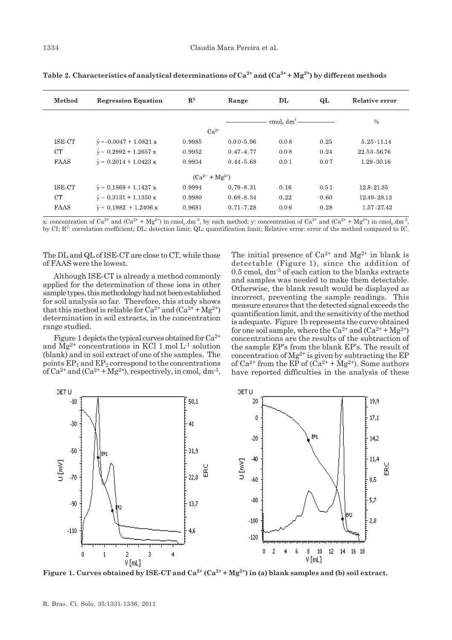| Method                | <b>Regression Equation</b>            | $\mathbf{R}^2$ | Range         | DL                                       | QL   | Relative error |  |  |  |  |  |
|-----------------------|---------------------------------------|----------------|---------------|------------------------------------------|------|----------------|--|--|--|--|--|
|                       |                                       |                |               | cmol <sub>c</sub> dm <sup>3</sup> —————— |      | $\%$           |  |  |  |  |  |
| $Ca^{2+}$             |                                       |                |               |                                          |      |                |  |  |  |  |  |
| ISE-CT                | $\hat{v} = -0.0047 + 1.0821 x$        | 0.9985         | $0.00 - 5.96$ | 0.08                                     | 0.25 | 5.25 11.14     |  |  |  |  |  |
| CT                    | $\hat{y} = 0.2992 + 1.2657 x$         | 0.9952         | $0.47 - 4.77$ | 0.08                                     | 0.24 | 22.53 - 56.76  |  |  |  |  |  |
| <b>FAAS</b>           | $\hat{y} = 0.2014 + 1.0423 x$         | 0.9934         | $0.44 - 5.68$ | 0.01                                     | 0.07 | $1.29 - 30.16$ |  |  |  |  |  |
| $(Ca^{2+} + Mg^{2+})$ |                                       |                |               |                                          |      |                |  |  |  |  |  |
| ISE-CT                | $\hat{y} = 0.1869 + 1.1427 x$         | 0.9994         | $0.79 - 8.31$ | 0.16                                     | 0.51 | 12.8-21.35     |  |  |  |  |  |
| <b>CT</b>             | $\hat{y} = 0.3131 + 1.1350 \text{ x}$ | 0.9980         | $0.69 - 8.34$ | 0.22                                     | 0.60 | 12.49 28.13    |  |  |  |  |  |
| FAAS                  | $\hat{v} = 0.1982 + 1.2406 x$         | 0.9681         | 0.71 7.28     | 0.06                                     | 0.28 | 1.57 - 27.42   |  |  |  |  |  |

Table 2. Characteristics of analytical determinations of  $Ca^{2+}$  and  $(Ca^{2+} + Mg^{2+})$  by different methods

x: concentration of  $Ca^{2+}$  and  $(Ca^{2+} + Me^{2+})$  in cmol.dm<sup>-3</sup>, by each method; y: concentration of  $Ca^{2+}$  and  $(Ca^{2+} + Me^{2+})$  in cmol.dm<sup>-3</sup>, by CI; R<sup>2</sup>: correlation coefficient; DL: detection limit; QL: quantification limit; Relative error: error of the method compared to IC.

The DL and QL of ISE-CT are close to CT, while those of FAAS were the lowest.

Although ISE-CT is already a method commonly applied for the determination of these ions in other sample types, this methodology had not been established for soil analysis so far. Therefore, this study shows that this method is reliable for  $Ca^{2+}$  and  $(Ca^{2+} + Mg^{2+})$ determination in soil extracts, in the concentration range studied.

Figure 1 depicts the typical curves obtained for  $Ca^{2+}$ and  $\text{Mg}^{2+}$  concentrations in KCl 1 mol L<sup>-1</sup> solution (blank) and in soil extract of one of the samples. The points  $EP_1$  and  $EP_2$  correspond to the concentrations of Ca<sup>2+</sup> and (Ca<sup>2+</sup> + Mg<sup>2+</sup>), respectively, in cmol<sub>c</sub> dm<sup>-3</sup>. The initial presence of  $Ca^{2+}$  and  $Mg^{2+}$  in blank is detectable (Figure 1), since the addition of  $0.5$  cmol<sub>c</sub> dm<sup>-3</sup> of each cation to the blanks extracts and samples was needed to make them detectable. Otherwise, the blank result would be displayed as incorrect, preventing the sample readings. This measure ensures that the detected signal exceeds the quantification limit, and the sensitivity of the method is adequate. Figure 1b represents the curve obtained for one soil sample, where the  $Ca^{2+}$  and  $(Ca^{2+} + Mg^{2+})$ concentrations are the results of the subtraction of the sample EP's from the blank EP's. The result of concentration of  $Mg^{2+}$  is given by subtracting the EP of Ca<sup>2+</sup> from the EP of  $(Ca^{2+} + Mg^{2+})$ . Some authors have reported difficulties in the analysis of these



**Figure 1. Curves obtained by ISE-CT and Ca<sup>2+</sup> (Ca<sup>2+</sup> + Mg<sup>2+</sup>) in (a) blank samples and (b) soil extract.**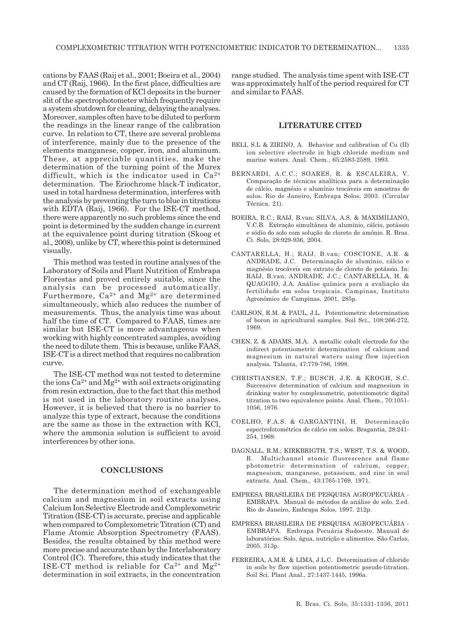cations by FAAS (Raij et al., 2001; Boeira et al., 2004) and CT (Raij, 1966). In the first place, difficulties are caused by the formation of KCl deposits in the burner slit of the spectrophotometer which frequently require a system shutdown for cleaning, delaying the analyses. Moreover, samples often have to be diluted to perform the readings in the linear range of the calibration curve. In relation to CT, there are several problems of interference, mainly due to the presence of the elements manganese, copper, iron, and aluminum. These, at appreciable quantities, make the determination of the turning point of the Murex difficult, which is the indicator used in  $Ca^{2+}$ determination. The Eriochrome black-T indicator, used in total hardness determination, interferes with the analysis by preventing the turn to blue in titrations with EDTA (Raij, 1966). For the ISE-CT method, there were apparently no such problems since the end point is determined by the sudden change in current at the equivalence point during titration (Skoog et al., 2008), unlike by CT, where this point is determined visually.

This method was tested in routine analyses of the Laboratory of Soils and Plant Nutrition of Embrapa Florestas and proved entirely suitable, since the analysis can be processed automatically. Furthermore,  $Ca^{2+}$  and  $Mg^{2+}$  are determined simultaneously, which also reduces the number of measurements. Thus, the analysis time was about half the time of CT. Compared to FAAS, times are similar but ISE-CT is more advantageous when working with highly concentrated samples, avoiding the need to dilute them. This is because, unlike FAAS, ISE-CT is a direct method that requires no calibration curve.

The ISE-CT method was not tested to determine the ions  $Ca^{2+}$  and  $Mg^{2+}$  with soil extracts originating from resin extraction, due to the fact that this method is not used in the laboratory routine analyses. However, it is believed that there is no barrier to analyze this type of extract, because the conditions are the same as those in the extraction with KCl, where the ammonia solution is sufficient to avoid interferences by other ions.

#### **CONCLUSIONS**

The determination method of exchangeable calcium and magnesium in soil extracts using Calcium Ion Selective Electrode and Complexometric Titration (ISE-CT) is accurate, precise and applicable when compared to Complexometric Titration (CT) and Flame Atomic Absorption Spectrometry (FAAS). Besides, the results obtained by this method were more precise and accurate than by the Interlaboratory Control (IC). Therefore, this study indicates that the ISE-CT method is reliable for  $Ca^{2+}$  and  $Mg^{2+}$ determination in soil extracts, in the concentration range studied. The analysis time spent with ISE-CT was approximately half of the period required for CT and similar to FAAS.

#### **LITERATURE CITED**

- BELI, S.L & ZIRINO, A. Behavior and calibration of Cu (II) ion selective electrode in high chloride medium and marine waters. Anal. Chem., 65:2583-2589, 1993.
- BERNARDI, A.C.C.; SOARES, R. & ESCALEIRA, V. Comparação de técnicas analíticas para a determinação de cálcio, magnésio e alumínio trocáveis em amostras de solos. Rio de Janeiro, Embrapa Solos, 2003. (Circular Técnica, 21).
- BOEIRA, R.C.; RAIJ, B.van; SILVA, A.S. & MAXIMILIANO, V.C.B. Extração simultânea de alumínio, cálcio, potássio e sódio do solo com solução de cloreto de amônio. R. Bras. Ci. Solo, 28:929-936, 2004.
- CANTARELLA, H.; RAIJ, B.van; COSCIONE, A.R. & ANDRADE, J.C. Determinação de alumínio, cálcio e magnésio trocáveis em extrato de cloreto de potássio. In: RAIJ, B.van; ANDRADE, J.C.; CANTARELLA, H. & QUAGGIO, J.A. Análise química para a avaliação da fertilidade em solos tropicais. Campinas, Instituto Agronômico de Campinas, 2001. 285p.
- CARLSON, R.M. & PAUL, J.L. Potentiometric determination of boron in agricultural samples. Soil Sci., 108:266-272, 1969.
- CHEN, Z. & ADAMS, M.A. A metallic cobalt electrode for the indirect potentiometric determination of calcium and magnesium in natural waters using flow injection analysis. Talanta, 47:779-786, 1998.
- CHRISTIANSEN, T.F.; BUSCH, J.E. & KROGH, S.C. Successive determination of calcium and magnesium in drinking water by complexometric, potentiometric digital titration to two equivalence points. Anal. Chem., 70:1051- 1056, 1976.
- COELHO, F.A.S. & GARGANTINI, H. Determinação espectrofotométrica de cálcio em solos. Bragantia, 28:241- 254, 1969.
- DAGNALL, R.M.; KIRKBRIGTH, T.S.; WEST, T.S. & WOOD, R. Multichannel atomic fluorescence and flame photometric determination of calcium, copper, magnesium, manganese, potassium, and zinc in soul extracts. Anal. Chem., 43:1765-1769, 1971.
- EMPRESA BRASILEIRA DE PESQUISA AGROPECUÁRIA EMBRAPA. Manual de métodos de análise de solo. 2.ed. Rio de Janeiro, Embrapa Solos, 1997. 212p.
- EMPRESA BRASILEIRA DE PESQUISA AGROPECUÁRIA EMBRAPA. Embrapa Pecuária Sudoeste. Manual de laboratórios: Solo, água, nutrição e alimentos. São Carlos, 2005. 313p.
- FERREIRA, A.M.R. & LIMA, J.L.C. Determination of chloride in soils by flow injection potentiometric pseudo-titration. Soil Sci. Plant Anal., 27:1437-1445, 1996a.